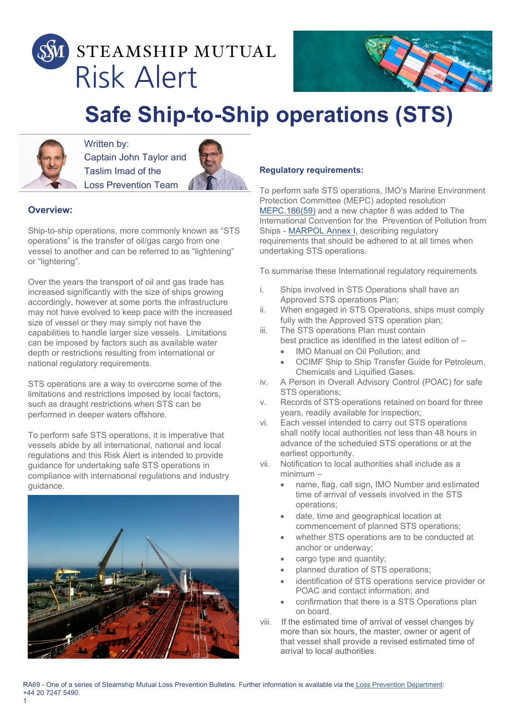



# **Safe Ship-to-Ship operations (STS)**



Written by: Captain John Taylor and Taslim Imad of the Loss Prevention Team



## **Overview:**

1

Ship-to-ship operations, more commonly known as "STS operations" is the transfer of oil/gas cargo from one vessel to another and can be referred to as "lightening" or "lightering".

Over the years the transport of oil and gas trade has increased significantly with the size of ships growing accordingly, however at some ports the infrastructure may not have evolved to keep pace with the increased size of vessel or they may simply not have the capabilities to handle larger size vessels. Limitations can be imposed by factors such as available water depth or restrictions resulting from international or national regulatory requirements.

STS operations are a way to overcome some of the limitations and restrictions imposed by local factors, such as draught restrictions when STS can be performed in deeper waters offshore.

To perform safe STS operations, it is imperative that vessels abide by all international, national and local regulations and this Risk Alert is intended to provide guidance for undertaking safe STS operations in compliance with international regulations and industry guidance.



#### **Regulatory requirements:**

To perform safe STS operations, IMO's Marine Environment Protection Committee (MEPC) adopted resolution [MEPC.186\(59\)](http://www.imo.org/en/KnowledgeCentre/IndexofIMOResolutions/Marine-Environment-Protection-Committee-(MEPC)/Documents/MEPC.186(59).pdf) and a new chapter 8 was added to The International Convention for the Prevention of Pollution from Ships - [MARPOL Annex I,](http://www.imo.org/en/OurWork/Environment/PollutionPrevention/OilPollution/Pages/Default.aspx) describing regulatory requirements that should be adhered to at all times when undertaking STS operations.

To summarise these International regulatory requirements

- i. Ships involved in STS Operations shall have an Approved STS operations Plan;
- ii. When engaged in STS Operations, ships must comply fully with the Approved STS operation plan;
- iii. The STS operations Plan must contain best practice as identified in the latest edition of –
	- IMO Manual on Oil Pollution; and
	- OCIMF Ship to Ship Transfer Guide for Petroleum, Chemicals and Liquified Gases.
- iv. A Person in Overall Advisory Control (POAC) for safe STS operations;
- v. Records of STS operations retained on board for three years, readily available for inspection;
- vi. Each vessel intended to carry out STS operations shall notify local authorities not less than 48 hours in advance of the scheduled STS operations or at the earliest opportunity.
- vii. Notification to local authorities shall include as a minimum –
	- name, flag, call sign, IMO Number and estimated time of arrival of vessels involved in the STS operations;
	- date, time and geographical location at commencement of planned STS operations;
	- whether STS operations are to be conducted at anchor or underway;
	- cargo type and quantity;
	- planned duration of STS operations;
	- identification of STS operations service provider or POAC and contact information; and
	- confirmation that there is a STS Operations plan on board.
- viii. If the estimated time of arrival of vessel changes by more than six hours, the master, owner or agent of that vessel shall provide a revised estimated time of arrival to local authorities.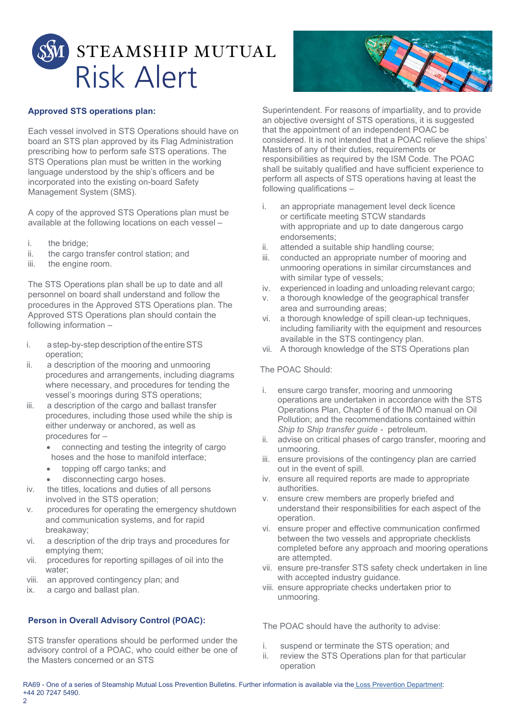



## **Approved STS operations plan:**

Each vessel involved in STS Operations should have on board an STS plan approved by its Flag Administration prescribing how to perform safe STS operations. The STS Operations plan must be written in the working language understood by the ship's officers and be incorporated into the existing on-board Safety Management System (SMS).

A copy of the approved STS Operations plan must be available at the following locations on each vessel –

- i. the bridge;
- ii. the cargo transfer control station; and
- iii. the engine room.

The STS Operations plan shall be up to date and all personnel on board shall understand and follow the procedures in the Approved STS Operations plan. The Approved STS Operations plan should contain the following information –

- i. a step-by-step description of the entire STS operation;
- ii. a description of the mooring and unmooring procedures and arrangements, including diagrams where necessary, and procedures for tending the vessel's moorings during STS operations;
- iii. a description of the cargo and ballast transfer procedures, including those used while the ship is either underway or anchored, as well as procedures for –
	- connecting and testing the integrity of cargo hoses and the hose to manifold interface;
	- topping off cargo tanks; and
	- disconnecting cargo hoses.
- iv. the titles, locations and duties of all persons involved in the STS operation;
- v. procedures for operating the emergency shutdown and communication systems, and for rapid breakaway;
- vi. a description of the drip trays and procedures for emptying them;
- vii. procedures for reporting spillages of oil into the water;
- viii. an approved contingency plan; and
- ix. a cargo and ballast plan.

## **Person in Overall Advisory Control (POAC):**

STS transfer operations should be performed under the advisory control of a POAC, who could either be one of the Masters concerned or an STS

Superintendent. For reasons of impartiality, and to provide an objective oversight of STS operations, it is suggested that the appointment of an independent POAC be considered. It is not intended that a POAC relieve the ships' Masters of any of their duties, requirements or responsibilities as required by the ISM Code. The POAC shall be suitably qualified and have sufficient experience to perform all aspects of STS operations having at least the following qualifications –

- i. an appropriate management level deck licence or certificate meeting STCW standards with appropriate and up to date dangerous cargo endorsements;
- ii. attended a suitable ship handling course;<br>iii. conducted an appropriate number of moo
- conducted an appropriate number of mooring and unmooring operations in similar circumstances and with similar type of vessels;
- iv. experienced in loading and unloading relevant cargo;
- v. a thorough knowledge of the geographical transfer area and surrounding areas;
- vi. a thorough knowledge of spill clean-up techniques, including familiarity with the equipment and resources available in the STS contingency plan.
- vii. A thorough knowledge of the STS Operations plan

#### The POAC Should:

- i. ensure cargo transfer, mooring and unmooring operations are undertaken in accordance with the STS Operations Plan, Chapter 6 of the IMO manual on Oil Pollution; and the recommendations contained within *Ship to Ship transfer guide -* petroleum.
- ii. advise on critical phases of cargo transfer, mooring and unmooring.
- iii. ensure provisions of the contingency plan are carried out in the event of spill.
- iv. ensure all required reports are made to appropriate authorities.
- v. ensure crew members are properly briefed and understand their responsibilities for each aspect of the operation.
- vi. ensure proper and effective communication confirmed between the two vessels and appropriate checklists completed before any approach and mooring operations are attempted.
- vii. ensure pre-transfer STS safety check undertaken in line with accepted industry guidance.
- viii. ensure appropriate checks undertaken prior to unmooring.

The POAC should have the authority to advise:

- i. suspend or terminate the STS operation; and
- ii. review the STS Operations plan for that particular operation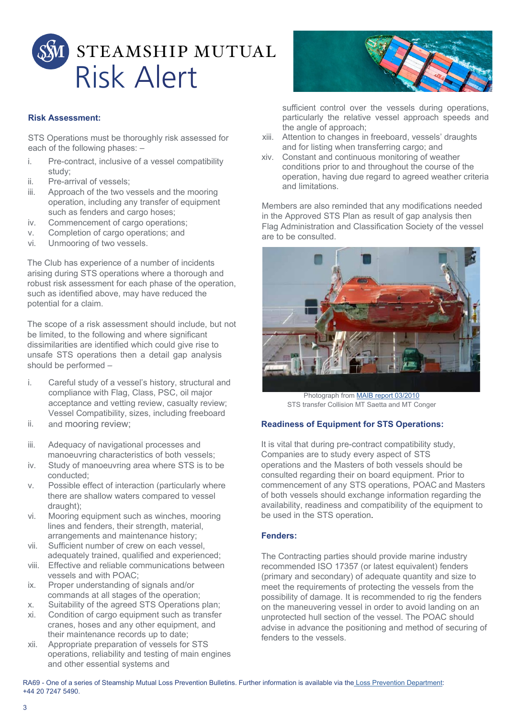

## **Risk Assessment:**

STS Operations must be thoroughly risk assessed for each of the following phases: –

- i. Pre-contract, inclusive of a vessel compatibility study;
- ii. Pre-arrival of vessels;<br>iii. Approach of the two ve
- Approach of the two vessels and the mooring operation, including any transfer of equipment such as fenders and cargo hoses;
- iv. Commencement of cargo operations;
- v. Completion of cargo operations; and
- vi. Unmooring of two vessels.

The Club has experience of a number of incidents arising during STS operations where a thorough and robust risk assessment for each phase of the operation, such as identified above, may have reduced the potential for a claim.

The scope of a risk assessment should include, but not be limited, to the following and where significant dissimilarities are identified which could give rise to unsafe STS operations then a detail gap analysis should be performed –

- i. Careful study of a vessel's history, structural and compliance with Flag, Class, PSC, oil major acceptance and vetting review, casualty review; Vessel Compatibility, sizes, including freeboard
- ii. and mooring review;
- iii. Adequacy of navigational processes and manoeuvring characteristics of both vessels;
- iv. Study of manoeuvring area where STS is to be conducted;
- v. Possible effect of interaction (particularly where there are shallow waters compared to vessel draught);
- vi. Mooring equipment such as winches, mooring lines and fenders, their strength, material, arrangements and maintenance history;
- vii. Sufficient number of crew on each vessel, adequately trained, qualified and experienced;
- viii. Effective and reliable communications between vessels and with POAC;
- ix. Proper understanding of signals and/or commands at all stages of the operation;
- x. Suitability of the agreed STS Operations plan; xi. Condition of cargo equipment such as transfer
- cranes, hoses and any other equipment, and their maintenance records up to date; xii. Appropriate preparation of vessels for STS
- operations, reliability and testing of main engines and other essential systems and



sufficient control over the vessels during operations, particularly the relative vessel approach speeds and the angle of approach;

- xiii. Attention to changes in freeboard, vessels' draughts and for listing when transferring cargo; and
- xiv. Constant and continuous monitoring of weather conditions prior to and throughout the course of the operation, having due regard to agreed weather criteria and limitations.

Members are also reminded that any modifications needed in the Approved STS Plan as result of gap analysis then Flag Administration and Classification Society of the vessel are to be consulted.



Photograph from [MAIB report 03/2010](https://assets.publishing.service.gov.uk/media/547c6fcce5274a428d000045/SaettaCongerReport.pdf) STS transfer Collision MT Saetta and MT Conger

## **Readiness of Equipment for STS Operations:**

It is vital that during pre-contract compatibility study, Companies are to study every aspect of STS operations and the Masters of both vessels should be consulted regarding their on board equipment. Prior to commencement of any STS operations, POAC and Masters of both vessels should exchange information regarding the availability, readiness and compatibility of the equipment to be used in the STS operation.

## **Fenders:**

The Contracting parties should provide marine industry recommended ISO 17357 (or latest equivalent) fenders (primary and secondary) of adequate quantity and size to meet the requirements of protecting the vessels from the possibility of damage. It is recommended to rig the fenders on the maneuvering vessel in order to avoid landing on an unprotected hull section of the vessel. The POAC should advise in advance the positioning and method of securing of fenders to the vessels.

RA69 - One of a series of Steamship Mutual Loss Prevention Bulletins. Further information is available via the Loss Prevention Department: +44 20 7247 5490.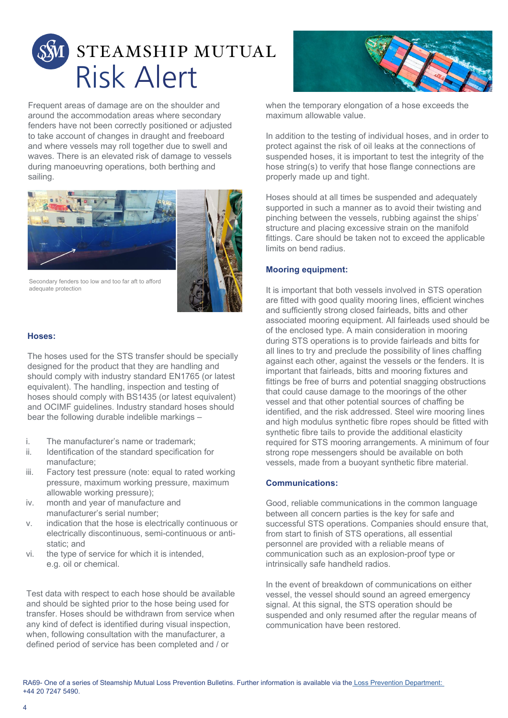

Frequent areas of damage are on the shoulder and around the accommodation areas where secondary fenders have not been correctly positioned or adjusted to take account of changes in draught and freeboard and where vessels may roll together due to swell and waves. There is an elevated risk of damage to vessels during manoeuvring operations, both berthing and sailing.



Secondary fenders too low and too far aft to afford adequate protection

#### **Hoses:**

The hoses used for the STS transfer should be specially designed for the product that they are handling and should comply with industry standard EN1765 (or latest equivalent). The handling, inspection and testing of hoses should comply with BS1435 (or latest equivalent) and OCIMF guidelines. Industry standard hoses should bear the following durable indelible markings –

- i. The manufacturer's name or trademark;<br>ii. Identification of the standard specification
- Identification of the standard specification for manufacture;
- iii. Factory test pressure (note: equal to rated working pressure, maximum working pressure, maximum allowable working pressure);
- iv. month and year of manufacture and manufacturer's serial number;
- v. indication that the hose is electrically continuous or electrically discontinuous, semi-continuous or antistatic; and
- vi. the type of service for which it is intended, e.g. oil or chemical.

Test data with respect to each hose should be available and should be sighted prior to the hose being used for transfer. Hoses should be withdrawn from service when any kind of defect is identified during visual inspection, when, following consultation with the manufacturer, a defined period of service has been completed and / or



when the temporary elongation of a hose exceeds the maximum allowable value.

In addition to the testing of individual hoses, and in order to protect against the risk of oil leaks at the connections of suspended hoses, it is important to test the integrity of the hose string(s) to verify that hose flange connections are properly made up and tight.

Hoses should at all times be suspended and adequately supported in such a manner as to avoid their twisting and pinching between the vessels, rubbing against the ships' structure and placing excessive strain on the manifold fittings. Care should be taken not to exceed the applicable limits on bend radius.

## **Mooring equipment:**

It is important that both vessels involved in STS operation are fitted with good quality mooring lines, efficient winches and sufficiently strong closed fairleads, bitts and other associated mooring equipment. All fairleads used should be of the enclosed type. A main consideration in mooring during STS operations is to provide fairleads and bitts for all lines to try and preclude the possibility of lines chaffing against each other, against the vessels or the fenders. It is important that fairleads, bitts and mooring fixtures and fittings be free of burrs and potential snagging obstructions that could cause damage to the moorings of the other vessel and that other potential sources of chaffing be identified, and the risk addressed. Steel wire mooring lines and high modulus synthetic fibre ropes should be fitted with synthetic fibre tails to provide the additional elasticity required for STS mooring arrangements. A minimum of four strong rope messengers should be available on both vessels, made from a buoyant synthetic fibre material.

#### **Communications:**

Good, reliable communications in the common language between all concern parties is the key for safe and successful STS operations. Companies should ensure that, from start to finish of STS operations, all essential personnel are provided with a reliable means of communication such as an explosion-proof type or intrinsically safe handheld radios.

In the event of breakdown of communications on either vessel, the vessel should sound an agreed emergency signal. At this signal, the STS operation should be suspended and only resumed after the regular means of communication have been restored.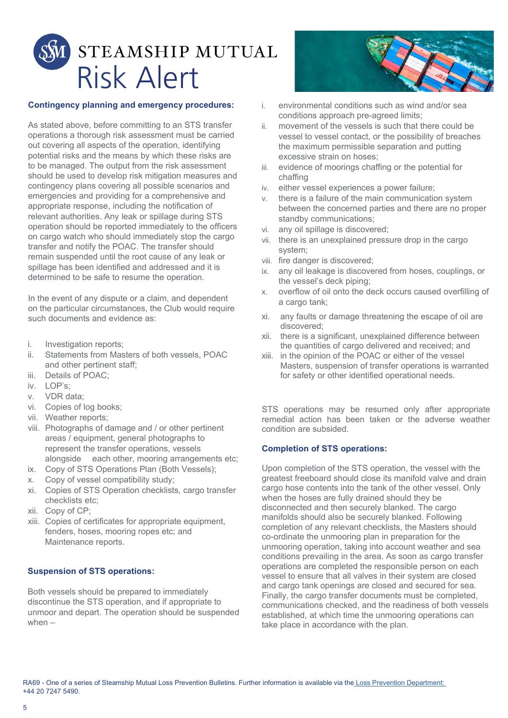

#### **Contingency planning and emergency procedures:**

As stated above, before committing to an STS transfer operations a thorough risk assessment must be carried out covering all aspects of the operation, identifying potential risks and the means by which these risks are to be managed. The output from the risk assessment should be used to develop risk mitigation measures and contingency plans covering all possible scenarios and emergencies and providing for a comprehensive and appropriate response, including the notification of relevant authorities. Any leak or spillage during STS operation should be reported immediately to the officers on cargo watch who should immediately stop the cargo transfer and notify the POAC. The transfer should remain suspended until the root cause of any leak or spillage has been identified and addressed and it is determined to be safe to resume the operation.

In the event of any dispute or a claim, and dependent on the particular circumstances, the Club would require such documents and evidence as:

- i. Investigation reports;
- ii. Statements from Masters of both vessels, POAC and other pertinent staff;
- iii. Details of POAC;
- iv. LOP's;
- v. VDR data;
- vi. Copies of log books;
- vii. Weather reports;
- viii. Photographs of damage and / or other pertinent areas / equipment, general photographs to represent the transfer operations, vessels alongside each other, mooring arrangements etc;
- ix. Copy of STS Operations Plan (Both Vessels);
- x. Copy of vessel compatibility study;
- xi. Copies of STS Operation checklists, cargo transfer checklists etc;
- xii. Copy of CP;
- xiii. Copies of certificates for appropriate equipment, fenders, hoses, mooring ropes etc; and Maintenance reports.

## **Suspension of STS operations:**

Both vessels should be prepared to immediately discontinue the STS operation, and if appropriate to unmoor and depart. The operation should be suspended when –



- i. environmental conditions such as wind and/or sea conditions approach pre-agreed limits;
- ii. movement of the vessels is such that there could be vessel to vessel contact, or the possibility of breaches the maximum permissible separation and putting excessive strain on hoses;
- iii. evidence of moorings chaffing or the potential for chaffing
- iv. either vessel experiences a power failure;
- v. there is a failure of the main communication system between the concerned parties and there are no proper standby communications;
- vi. any oil spillage is discovered;
- vii. there is an unexplained pressure drop in the cargo system;
- viii. fire danger is discovered;
- ix. any oil leakage is discovered from hoses, couplings, or the vessel's deck piping;
- x. overflow of oil onto the deck occurs caused overfilling of a cargo tank;
- xi. any faults or damage threatening the escape of oil are discovered;
- xii. there is a significant, unexplained difference between the quantities of cargo delivered and received; and
- xiii. in the opinion of the POAC or either of the vessel Masters, suspension of transfer operations is warranted for safety or other identified operational needs.

STS operations may be resumed only after appropriate remedial action has been taken or the adverse weather condition are subsided.

#### **Completion of STS operations:**

Upon completion of the STS operation, the vessel with the greatest freeboard should close its manifold valve and drain cargo hose contents into the tank of the other vessel. Only when the hoses are fully drained should they be disconnected and then securely blanked. The cargo manifolds should also be securely blanked. Following completion of any relevant checklists, the Masters should co-ordinate the unmooring plan in preparation for the unmooring operation, taking into account weather and sea conditions prevailing in the area. As soon as cargo transfer operations are completed the responsible person on each vessel to ensure that all valves in their system are closed and cargo tank openings are closed and secured for sea. Finally, the cargo transfer documents must be completed, communications checked, and the readiness of both vessels established, at which time the unmooring operations can take place in accordance with the plan.